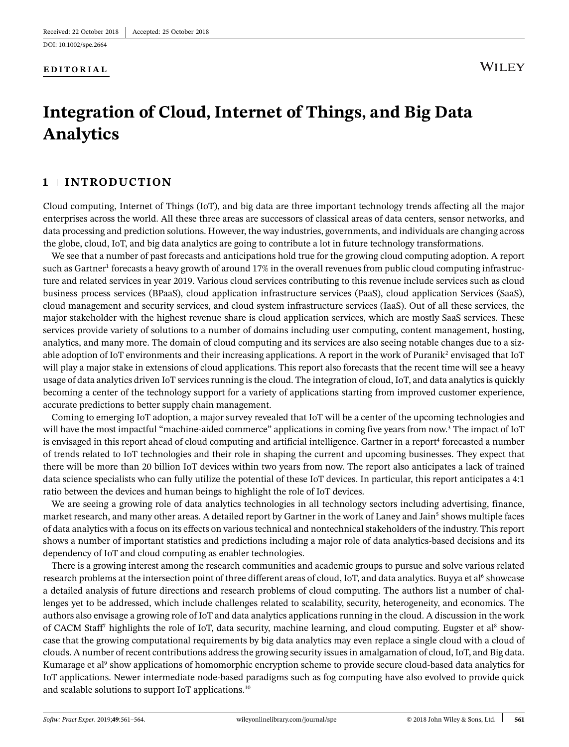DOI: [10.1002/spe.2664](https://doi.org/10.1002/spe.2664)

### **EDITORIAL**

**WILEY** 

# **Integration of Cloud, Internet of Things, and Big Data Analytics**

# **1 INTRODUCTION**

Cloud computing, Internet of Things (IoT), and big data are three important technology trends affecting all the major enterprises across the world. All these three areas are successors of classical areas of data centers, sensor networks, and data processing and prediction solutions. However, the way industries, governments, and individuals are changing across the globe, cloud, IoT, and big data analytics are going to contribute a lot in future technology transformations.

We see that a number of past forecasts and anticipations hold true for the growing cloud computing adoption. A report such as Gartner<sup>1</sup> forecasts a heavy growth of around 17% in the overall revenues from public cloud computing infrastructure and related services in year 2019. Various cloud services contributing to this revenue include services such as cloud business process services (BPaaS), cloud application infrastructure services (PaaS), cloud application Services (SaaS), cloud management and security services, and cloud system infrastructure services (IaaS). Out of all these services, the major stakeholder with the highest revenue share is cloud application services, which are mostly SaaS services. These services provide variety of solutions to a number of domains including user computing, content management, hosting, analytics, and many more. The domain of cloud computing and its services are also seeing notable changes due to a sizable adoption of IoT environments and their increasing applications. A report in the work of Puranik<sup>2</sup> envisaged that IoT will play a major stake in extensions of cloud applications. This report also forecasts that the recent time will see a heavy usage of data analytics driven IoT services running is the cloud. The integration of cloud, IoT, and data analytics is quickly becoming a center of the technology support for a variety of applications starting from improved customer experience, accurate predictions to better supply chain management.

Coming to emerging IoT adoption, a major survey revealed that IoT will be a center of the upcoming technologies and will have the most impactful "machine-aided commerce" applications in coming five years from now.<sup>3</sup> The impact of IoT is envisaged in this report ahead of cloud computing and artificial intelligence. Gartner in a report<sup>4</sup> forecasted a number of trends related to IoT technologies and their role in shaping the current and upcoming businesses. They expect that there will be more than 20 billion IoT devices within two years from now. The report also anticipates a lack of trained data science specialists who can fully utilize the potential of these IoT devices. In particular, this report anticipates a 4:1 ratio between the devices and human beings to highlight the role of IoT devices.

We are seeing a growing role of data analytics technologies in all technology sectors including advertising, finance, market research, and many other areas. A detailed report by Gartner in the work of Laney and Jain<sup>5</sup> shows multiple faces of data analytics with a focus on its effects on various technical and nontechnical stakeholders of the industry. This report shows a number of important statistics and predictions including a major role of data analytics-based decisions and its dependency of IoT and cloud computing as enabler technologies.

There is a growing interest among the research communities and academic groups to pursue and solve various related research problems at the intersection point of three different areas of cloud, IoT, and data analytics. Buyya et al<sup>6</sup> showcase a detailed analysis of future directions and research problems of cloud computing. The authors list a number of challenges yet to be addressed, which include challenges related to scalability, security, heterogeneity, and economics. The authors also envisage a growing role of IoT and data analytics applications running in the cloud. A discussion in the work of CACM Staff<sup>7</sup> highlights the role of IoT, data security, machine learning, and cloud computing. Eugster et al<sup>8</sup> showcase that the growing computational requirements by big data analytics may even replace a single cloud with a cloud of clouds. A number of recent contributions address the growing security issues in amalgamation of cloud, IoT, and Big data. Kumarage et al<sup>9</sup> show applications of homomorphic encryption scheme to provide secure cloud-based data analytics for IoT applications. Newer intermediate node-based paradigms such as fog computing have also evolved to provide quick and scalable solutions to support IoT applications[.10](#page-3-1)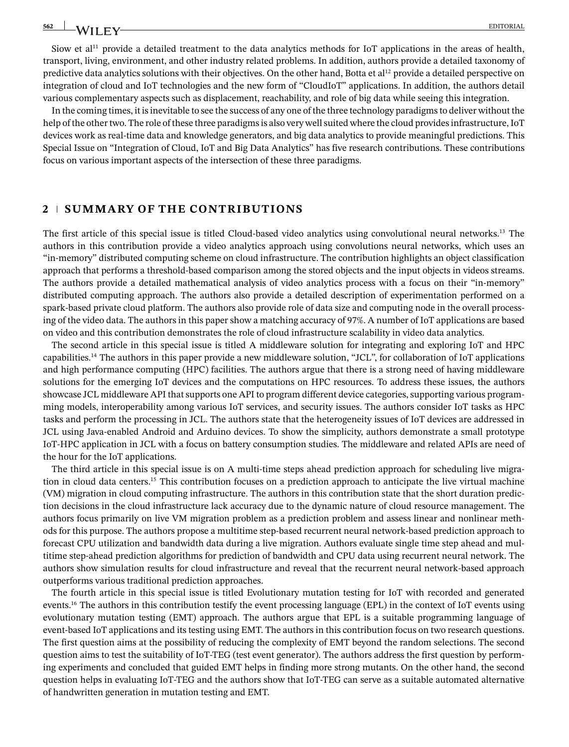# **562 IX/II EV**

Siow et al<sup>11</sup> provide a detailed treatment to the data analytics methods for IoT applications in the areas of health, transport, living, environment, and other industry related problems. In addition, authors provide a detailed taxonomy of predictive data analytics solutions with their objectives. On the other hand, Botta et al<sup>12</sup> provide a detailed perspective on integration of cloud and IoT technologies and the new form of "CloudIoT" applications. In addition, the authors detail various complementary aspects such as displacement, reachability, and role of big data while seeing this integration.

In the coming times, it is inevitable to see the success of any one of the three technology paradigms to deliver without the help of the other two. The role of these three paradigms is also very well suited where the cloud provides infrastructure, IoT devices work as real-time data and knowledge generators, and big data analytics to provide meaningful predictions. This Special Issue on "Integration of Cloud, IoT and Big Data Analytics" has five research contributions. These contributions focus on various important aspects of the intersection of these three paradigms.

## **2 SUMMARY OF THE CONTRIBUTIONS**

The first article of this special issue is titled Cloud-based video analytics using convolutional neural networks[.13](#page-3-4) The authors in this contribution provide a video analytics approach using convolutions neural networks, which uses an "in-memory" distributed computing scheme on cloud infrastructure. The contribution highlights an object classification approach that performs a threshold-based comparison among the stored objects and the input objects in videos streams. The authors provide a detailed mathematical analysis of video analytics process with a focus on their "in-memory" distributed computing approach. The authors also provide a detailed description of experimentation performed on a spark-based private cloud platform. The authors also provide role of data size and computing node in the overall processing of the video data. The authors in this paper show a matching accuracy of 97%. A number of IoT applications are based on video and this contribution demonstrates the role of cloud infrastructure scalability in video data analytics.

The second article in this special issue is titled A middleware solution for integrating and exploring IoT and HPC capabilities[.14](#page-3-5) The authors in this paper provide a new middleware solution, "JCL", for collaboration of IoT applications and high performance computing (HPC) facilities. The authors argue that there is a strong need of having middleware solutions for the emerging IoT devices and the computations on HPC resources. To address these issues, the authors showcase JCL middleware API that supports one API to program different device categories, supporting various programming models, interoperability among various IoT services, and security issues. The authors consider IoT tasks as HPC tasks and perform the processing in JCL. The authors state that the heterogeneity issues of IoT devices are addressed in JCL using Java-enabled Android and Arduino devices. To show the simplicity, authors demonstrate a small prototype IoT-HPC application in JCL with a focus on battery consumption studies. The middleware and related APIs are need of the hour for the IoT applications.

The third article in this special issue is on A multi-time steps ahead prediction approach for scheduling live migration in cloud data centers[.15](#page-3-6) This contribution focuses on a prediction approach to anticipate the live virtual machine (VM) migration in cloud computing infrastructure. The authors in this contribution state that the short duration prediction decisions in the cloud infrastructure lack accuracy due to the dynamic nature of cloud resource management. The authors focus primarily on live VM migration problem as a prediction problem and assess linear and nonlinear methods for this purpose. The authors propose a multitime step-based recurrent neural network-based prediction approach to forecast CPU utilization and bandwidth data during a live migration. Authors evaluate single time step ahead and multitime step-ahead prediction algorithms for prediction of bandwidth and CPU data using recurrent neural network. The authors show simulation results for cloud infrastructure and reveal that the recurrent neural network-based approach outperforms various traditional prediction approaches.

The fourth article in this special issue is titled Evolutionary mutation testing for IoT with recorded and generated events[.16](#page-3-7) The authors in this contribution testify the event processing language (EPL) in the context of IoT events using evolutionary mutation testing (EMT) approach. The authors argue that EPL is a suitable programming language of event-based IoT applications and its testing using EMT. The authors in this contribution focus on two research questions. The first question aims at the possibility of reducing the complexity of EMT beyond the random selections. The second question aims to test the suitability of IoT-TEG (test event generator). The authors address the first question by performing experiments and concluded that guided EMT helps in finding more strong mutants. On the other hand, the second question helps in evaluating IoT-TEG and the authors show that IoT-TEG can serve as a suitable automated alternative of handwritten generation in mutation testing and EMT.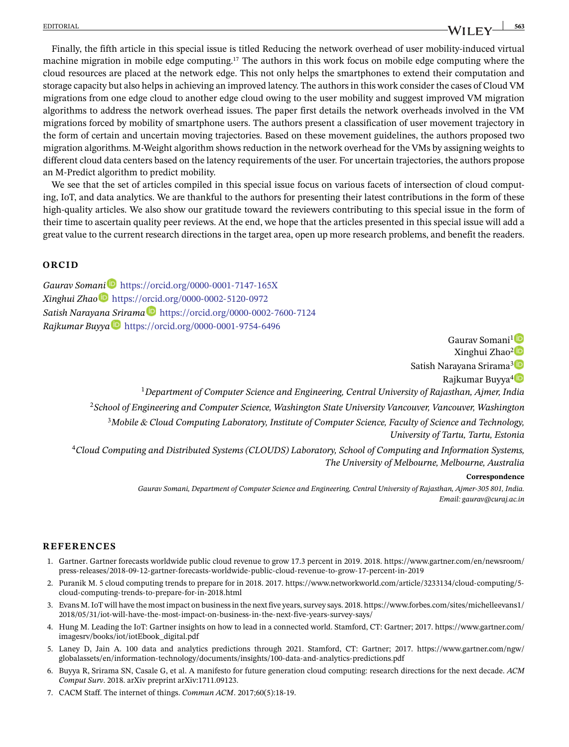#### EDITORIAL **563**

Finally, the fifth article in this special issue is titled Reducing the network overhead of user mobility-induced virtual machine migration in mobile edge computing.<sup>17</sup> The authors in this work focus on mobile edge computing where the cloud resources are placed at the network edge. This not only helps the smartphones to extend their computation and storage capacity but also helps in achieving an improved latency. The authors in this work consider the cases of Cloud VM migrations from one edge cloud to another edge cloud owing to the user mobility and suggest improved VM migration algorithms to address the network overhead issues. The paper first details the network overheads involved in the VM migrations forced by mobility of smartphone users. The authors present a classification of user movement trajectory in the form of certain and uncertain moving trajectories. Based on these movement guidelines, the authors proposed two migration algorithms. M-Weight algorithm shows reduction in the network overhead for the VMs by assigning weights to different cloud data centers based on the latency requirements of the user. For uncertain trajectories, the authors propose an M-Predict algorithm to predict mobility.

We see that the set of articles compiled in this special issue focus on various facets of intersection of cloud computing, IoT, and data analytics. We are thankful to the authors for presenting their latest contributions in the form of these high-quality articles. We also show our gratitude toward the reviewers contributing to this special issue in the form of their time to ascertain quality peer reviews. At the end, we hope that the articles presented in this special issue will add a great value to the current research directions in the target area, open up more research problems, and benefit the readers.

#### **ORCID**

*Gaurav Somani* <https://orcid.org/0000-0001-7147-165X> *Xinghui Zha[o](https://orcid.org/0000-0002-5120-0972)* <https://orcid.org/0000-0002-5120-0972> *Satish Narayana Srirama* <https://orcid.org/0000-0002-7600-7124> *Rajkumar Buyy[a](https://orcid.org/0000-0001-9754-6496)* <https://orcid.org/0000-0001-9754-6496>

> Gaurav Somani[1](https://orcid.org/0000-0001-7147-165X) Xinghui Zhao<sup>[2](https://orcid.org/0000-0002-5120-0972)</sup> Satish Narayana Srirama<sup>[3](https://orcid.org/0000-0002-7600-7124)</sup> Rajkumar Buyya<sup>[4](https://orcid.org/0000-0001-9754-6496)</sup> <sup>1</sup>*Department of Computer Science and Engineering, Central University of Rajasthan, Ajmer, India* <sup>2</sup>*School of Engineering and Computer Science, Washington State University Vancouver, Vancouver, Washington* <sup>3</sup>*Mobile & Cloud Computing Laboratory, Institute of Computer Science, Faculty of Science and Technology, University of Tartu, Tartu, Estonia*

<sup>4</sup>*Cloud Computing and Distributed Systems (CLOUDS) Laboratory, School of Computing and Information Systems, The University of Melbourne, Melbourne, Australia*

#### **Correspondence**

*Gaurav Somani, Department of Computer Science and Engineering, Central University of Rajasthan, Ajmer-305 801, India. Email: gaurav@curaj.ac.in*

#### **REFERENCES**

- <span id="page-2-0"></span>1. Gartner. Gartner forecasts worldwide public cloud revenue to grow 17.3 percent in 2019. 2018. [https://www.gartner.com/en/newsroom/](https://www.gartner.com/en/newsroom/press-releases/2018-09-12-gartner-forecasts-worldwide-public-cloud-revenue-to-grow-17-percent-in-2019) [press-releases/2018-09-12-gartner-forecasts-worldwide-public-cloud-revenue-to-grow-17-percent-in-2019](https://www.gartner.com/en/newsroom/press-releases/2018-09-12-gartner-forecasts-worldwide-public-cloud-revenue-to-grow-17-percent-in-2019)
- <span id="page-2-1"></span>2. Puranik M. 5 cloud computing trends to prepare for in 2018. 2017. [https://www.networkworld.com/article/3233134/cloud-computing/5](https://www.networkworld.com/article/3233134/cloud-computing/5-cloud-computing-trends-to-prepare-for-in-2018.html) [cloud-computing-trends-to-prepare-for-in-2018.html](https://www.networkworld.com/article/3233134/cloud-computing/5-cloud-computing-trends-to-prepare-for-in-2018.html)
- <span id="page-2-2"></span>3. Evans M. IoT will have the most impact on business in the next five years, survey says. 2018. [https://www.forbes.com/sites/michelleevans1/](https://www.forbes.com/sites/michelleevans1/2018/05/31/iot-will-have-the-most-impact-on-business-in-the-next-five-years-survey-says/) [2018/05/31/iot-will-have-the-most-impact-on-business-in-the-next-five-years-survey-says/](https://www.forbes.com/sites/michelleevans1/2018/05/31/iot-will-have-the-most-impact-on-business-in-the-next-five-years-survey-says/)
- <span id="page-2-3"></span>4. Hung M. Leading the IoT: Gartner insights on how to lead in a connected world. Stamford, CT: Gartner; 2017. [https://www.gartner.com/](https://www.gartner.com/imagesrv/books/iot/iotEbook_digital.pdf) [imagesrv/books/iot/iotEbook\\_digital.pdf](https://www.gartner.com/imagesrv/books/iot/iotEbook_digital.pdf)
- <span id="page-2-4"></span>5. Laney D, Jain A. 100 data and analytics predictions through 2021. Stamford, CT: Gartner; 2017. [https://www.gartner.com/ngw/](https://www.gartner.com/ngw/globalassets/en/information-technology/documents/insights/100-data-and-analytics-predictions.pdf) [globalassets/en/information-technology/documents/insights/100-data-and-analytics-predictions.pdf](https://www.gartner.com/ngw/globalassets/en/information-technology/documents/insights/100-data-and-analytics-predictions.pdf)
- <span id="page-2-5"></span>6. Buyya R, Srirama SN, Casale G, et al. A manifesto for future generation cloud computing: research directions for the next decade. *ACM Comput Surv*. 2018. arXiv preprint arXiv:1711.09123.
- <span id="page-2-7"></span><span id="page-2-6"></span>7. CACM Staff. The internet of things. *Commun ACM*. 2017;60(5):18-19.